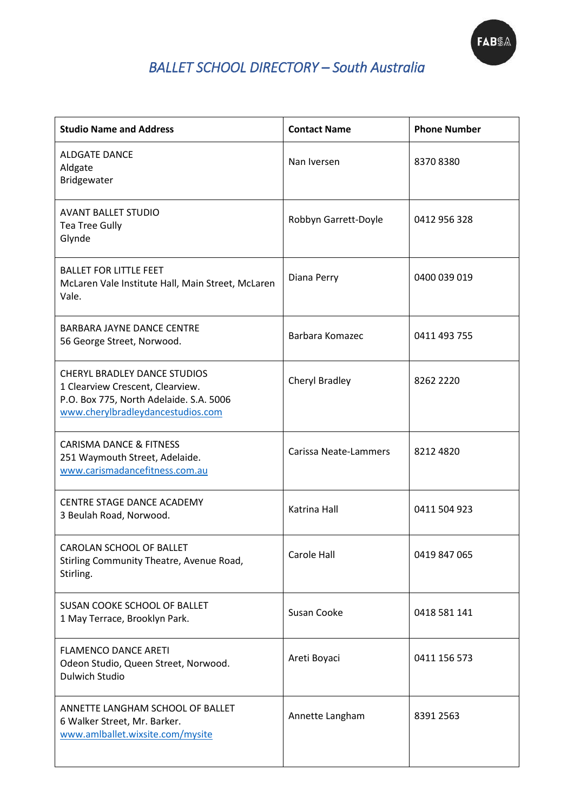

## *BALLET SCHOOL DIRECTORY – South Australia*

| <b>Studio Name and Address</b>                                                                                                                          | <b>Contact Name</b>   | <b>Phone Number</b> |
|---------------------------------------------------------------------------------------------------------------------------------------------------------|-----------------------|---------------------|
| <b>ALDGATE DANCE</b><br>Aldgate<br>Bridgewater                                                                                                          | Nan Iversen           | 83708380            |
| <b>AVANT BALLET STUDIO</b><br><b>Tea Tree Gully</b><br>Glynde                                                                                           | Robbyn Garrett-Doyle  | 0412 956 328        |
| <b>BALLET FOR LITTLE FEET</b><br>McLaren Vale Institute Hall, Main Street, McLaren<br>Vale.                                                             | Diana Perry           | 0400 039 019        |
| <b>BARBARA JAYNE DANCE CENTRE</b><br>56 George Street, Norwood.                                                                                         | Barbara Komazec       | 0411 493 755        |
| <b>CHERYL BRADLEY DANCE STUDIOS</b><br>1 Clearview Crescent, Clearview.<br>P.O. Box 775, North Adelaide. S.A. 5006<br>www.cherylbradleydancestudios.com | Cheryl Bradley        | 8262 2220           |
| <b>CARISMA DANCE &amp; FITNESS</b><br>251 Waymouth Street, Adelaide.<br>www.carismadancefitness.com.au                                                  | Carissa Neate-Lammers | 8212 4820           |
| CENTRE STAGE DANCE ACADEMY<br>3 Beulah Road, Norwood.                                                                                                   | Katrina Hall          | 0411 504 923        |
| CAROLAN SCHOOL OF BALLET<br>Stirling Community Theatre, Avenue Road,<br>Stirling.                                                                       | Carole Hall           | 0419 847 065        |
| SUSAN COOKE SCHOOL OF BALLET<br>1 May Terrace, Brooklyn Park.                                                                                           | Susan Cooke           | 0418 581 141        |
| <b>FLAMENCO DANCE ARETI</b><br>Odeon Studio, Queen Street, Norwood.<br>Dulwich Studio                                                                   | Areti Boyaci          | 0411 156 573        |
| ANNETTE LANGHAM SCHOOL OF BALLET<br>6 Walker Street, Mr. Barker.<br>www.amlballet.wixsite.com/mysite                                                    | Annette Langham       | 8391 2563           |